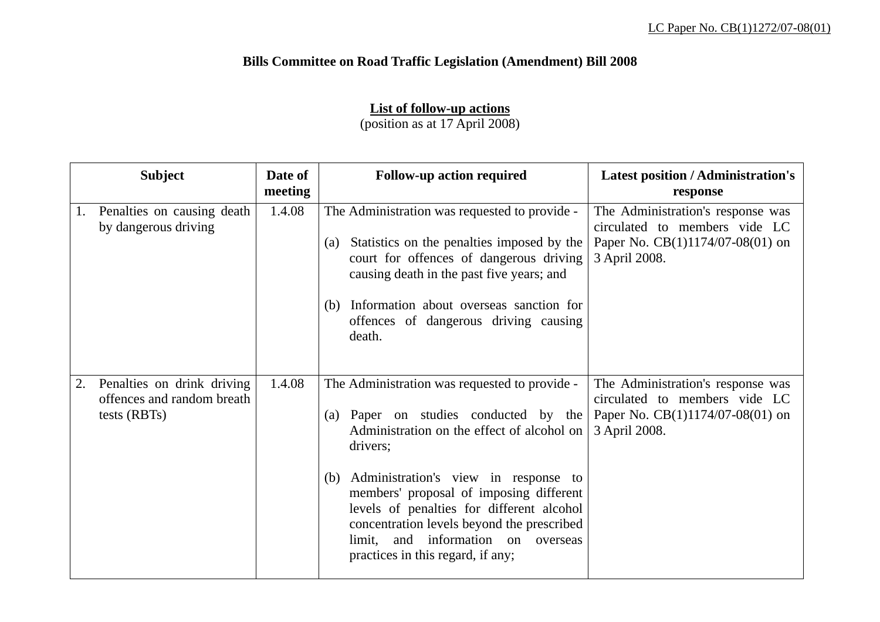## **Bills Committee on Road Traffic Legislation (Amendment) Bill 2008**

## **List of follow-up actions**

(position as at 17 April 2008)

|                | <b>Subject</b>                                                           | Date of<br>meeting | <b>Follow-up action required</b>                                                                                                                                                                                                                                                                                                                                                                                 | <b>Latest position / Administration's</b><br>response                                                                   |
|----------------|--------------------------------------------------------------------------|--------------------|------------------------------------------------------------------------------------------------------------------------------------------------------------------------------------------------------------------------------------------------------------------------------------------------------------------------------------------------------------------------------------------------------------------|-------------------------------------------------------------------------------------------------------------------------|
| $\mathbf{I}$ . | Penalties on causing death<br>by dangerous driving                       | 1.4.08             | The Administration was requested to provide -<br>Statistics on the penalties imposed by the<br>(a)<br>court for offences of dangerous driving<br>causing death in the past five years; and<br>(b) Information about overseas sanction for<br>offences of dangerous driving causing<br>death.                                                                                                                     | The Administration's response was<br>circulated to members vide LC<br>Paper No. CB(1)1174/07-08(01) on<br>3 April 2008. |
| 2.             | Penalties on drink driving<br>offences and random breath<br>tests (RBTs) | 1.4.08             | The Administration was requested to provide -<br>(a) Paper on studies conducted by the<br>Administration on the effect of alcohol on<br>drivers;<br>Administration's view in response to<br>(b)<br>members' proposal of imposing different<br>levels of penalties for different alcohol<br>concentration levels beyond the prescribed<br>limit, and information on overseas<br>practices in this regard, if any; | The Administration's response was<br>circulated to members vide LC<br>Paper No. CB(1)1174/07-08(01) on<br>3 April 2008. |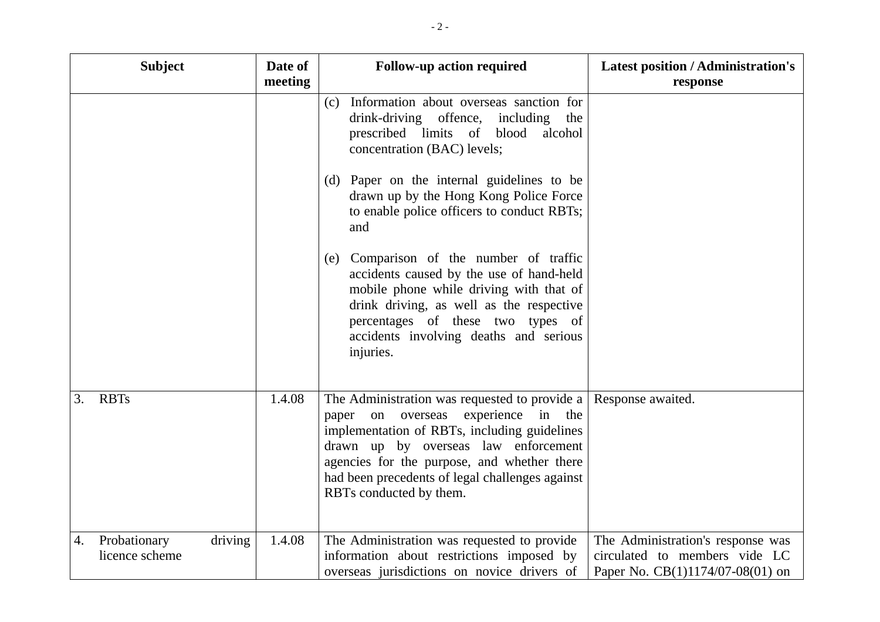|    | <b>Subject</b>                 | Date of<br>meeting | <b>Follow-up action required</b>                                                                                                                                                                                                                                                                                                                                                                                                                                                                                                                                                  | <b>Latest position / Administration's</b><br>response                                                  |
|----|--------------------------------|--------------------|-----------------------------------------------------------------------------------------------------------------------------------------------------------------------------------------------------------------------------------------------------------------------------------------------------------------------------------------------------------------------------------------------------------------------------------------------------------------------------------------------------------------------------------------------------------------------------------|--------------------------------------------------------------------------------------------------------|
|    |                                |                    | Information about overseas sanction for<br>(c)<br>drink-driving offence,<br>including the<br>prescribed limits of<br>blood<br>alcohol<br>concentration (BAC) levels;<br>(d) Paper on the internal guidelines to be<br>drawn up by the Hong Kong Police Force<br>to enable police officers to conduct RBTs;<br>and<br>Comparison of the number of traffic<br>(e)<br>accidents caused by the use of hand-held<br>mobile phone while driving with that of<br>drink driving, as well as the respective<br>percentages of these two types of<br>accidents involving deaths and serious |                                                                                                        |
|    |                                |                    | injuries.                                                                                                                                                                                                                                                                                                                                                                                                                                                                                                                                                                         |                                                                                                        |
| 3. | <b>RBTs</b>                    | 1.4.08             | The Administration was requested to provide a<br>experience in the<br>overseas<br>on<br>paper<br>implementation of RBTs, including guidelines<br>drawn up by overseas law enforcement<br>agencies for the purpose, and whether there<br>had been precedents of legal challenges against<br>RBTs conducted by them.                                                                                                                                                                                                                                                                | Response awaited.                                                                                      |
| 4. | Probationary<br>licence scheme | driving<br>1.4.08  | The Administration was requested to provide<br>information about restrictions imposed by<br>overseas jurisdictions on novice drivers of                                                                                                                                                                                                                                                                                                                                                                                                                                           | The Administration's response was<br>circulated to members vide LC<br>Paper No. CB(1)1174/07-08(01) on |